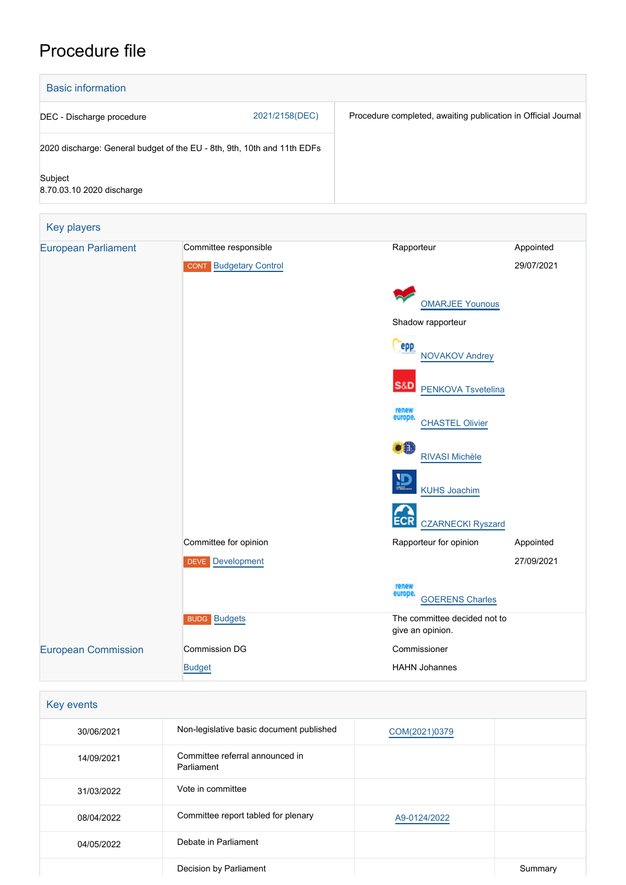# Procedure file



| Key players                |                               |                                                  |            |
|----------------------------|-------------------------------|--------------------------------------------------|------------|
| <b>European Parliament</b> | Committee responsible         | Rapporteur                                       | Appointed  |
|                            | <b>CONT</b> Budgetary Control |                                                  | 29/07/2021 |
|                            |                               | <b>OMARJEE Younous</b>                           |            |
|                            |                               | Shadow rapporteur                                |            |
|                            |                               | epp<br><b>NOVAKOV Andrey</b>                     |            |
|                            |                               | <b>S&amp;D</b><br><b>PENKOVA Tsvetelina</b>      |            |
|                            |                               | renew<br>europe.<br><b>CHASTEL Olivier</b>       |            |
|                            |                               | $\bullet$<br>RIVASI Michèle                      |            |
|                            |                               | 浢<br><b>KUHS Joachim</b>                         |            |
|                            |                               | <b>ECR</b><br><b>CZARNECKI Ryszard</b>           |            |
|                            | Committee for opinion         | Rapporteur for opinion                           | Appointed  |
|                            | <b>DEVE</b> Development       |                                                  | 27/09/2021 |
|                            |                               | renew<br>europe.<br><b>GOERENS Charles</b>       |            |
|                            | <b>BUDG Budgets</b>           | The committee decided not to<br>give an opinion. |            |
| <b>European Commission</b> | Commission DG                 | Commissioner                                     |            |
|                            | <b>Budget</b>                 | <b>HAHN Johannes</b>                             |            |

| Key events |                                               |               |         |  |
|------------|-----------------------------------------------|---------------|---------|--|
| 30/06/2021 | Non-legislative basic document published      | COM(2021)0379 |         |  |
| 14/09/2021 | Committee referral announced in<br>Parliament |               |         |  |
| 31/03/2022 | Vote in committee                             |               |         |  |
| 08/04/2022 | Committee report tabled for plenary           | A9-0124/2022  |         |  |
| 04/05/2022 | Debate in Parliament                          |               |         |  |
|            | Decision by Parliament                        |               | Summary |  |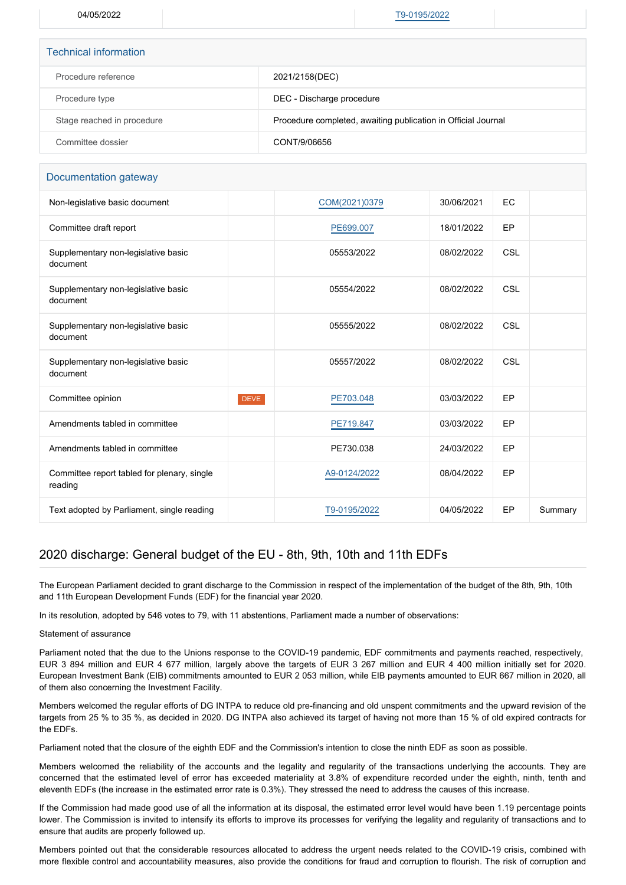04/05/2022 [T9-0195/2022](https://www.europarl.europa.eu/doceo/document/TA-9-2022-0195_EN.html)

| <b>Technical information</b> |                                                               |  |
|------------------------------|---------------------------------------------------------------|--|
| Procedure reference          | 2021/2158(DEC)                                                |  |
| Procedure type               | DEC - Discharge procedure                                     |  |
| Stage reached in procedure   | Procedure completed, awaiting publication in Official Journal |  |
| Committee dossier            | CONT/9/06656                                                  |  |

### Documentation gateway

| Non-legislative basic document                         |             | COM(2021)0379 | 30/06/2021 | <b>EC</b> |         |
|--------------------------------------------------------|-------------|---------------|------------|-----------|---------|
| Committee draft report                                 |             | PE699.007     | 18/01/2022 | EP        |         |
| Supplementary non-legislative basic<br>document        |             | 05553/2022    | 08/02/2022 | CSL       |         |
| Supplementary non-legislative basic<br>document        |             | 05554/2022    | 08/02/2022 | CSL       |         |
| Supplementary non-legislative basic<br>document        |             | 05555/2022    | 08/02/2022 | CSL       |         |
| Supplementary non-legislative basic<br>document        |             | 05557/2022    | 08/02/2022 | CSL       |         |
| Committee opinion                                      | <b>DEVE</b> | PE703.048     | 03/03/2022 | EP        |         |
| Amendments tabled in committee                         |             | PE719.847     | 03/03/2022 | EP        |         |
| Amendments tabled in committee                         |             | PE730.038     | 24/03/2022 | EP        |         |
| Committee report tabled for plenary, single<br>reading |             | A9-0124/2022  | 08/04/2022 | EP        |         |
| Text adopted by Parliament, single reading             |             | T9-0195/2022  | 04/05/2022 | EP        | Summary |

## 2020 discharge: General budget of the EU - 8th, 9th, 10th and 11th EDFs

The European Parliament decided to grant discharge to the Commission in respect of the implementation of the budget of the 8th, 9th, 10th and 11th European Development Funds (EDF) for the financial year 2020.

In its resolution, adopted by 546 votes to 79, with 11 abstentions, Parliament made a number of observations:

#### Statement of assurance

Parliament noted that the due to the Unions response to the COVID-19 pandemic, EDF commitments and payments reached, respectively, EUR 3 894 million and EUR 4 677 million, largely above the targets of EUR 3 267 million and EUR 4 400 million initially set for 2020. European Investment Bank (EIB) commitments amounted to EUR 2 053 million, while EIB payments amounted to EUR 667 million in 2020, all of them also concerning the Investment Facility.

Members welcomed the regular efforts of DG INTPA to reduce old pre-financing and old unspent commitments and the upward revision of the targets from 25 % to 35 %, as decided in 2020. DG INTPA also achieved its target of having not more than 15 % of old expired contracts for the EDFs.

Parliament noted that the closure of the eighth EDF and the Commission's intention to close the ninth EDF as soon as possible.

Members welcomed the reliability of the accounts and the legality and regularity of the transactions underlying the accounts. They are concerned that the estimated level of error has exceeded materiality at 3.8% of expenditure recorded under the eighth, ninth, tenth and eleventh EDFs (the increase in the estimated error rate is 0.3%). They stressed the need to address the causes of this increase.

If the Commission had made good use of all the information at its disposal, the estimated error level would have been 1.19 percentage points lower. The Commission is invited to intensify its efforts to improve its processes for verifying the legality and regularity of transactions and to ensure that audits are properly followed up.

Members pointed out that the considerable resources allocated to address the urgent needs related to the COVID-19 crisis, combined with more flexible control and accountability measures, also provide the conditions for fraud and corruption to flourish. The risk of corruption and